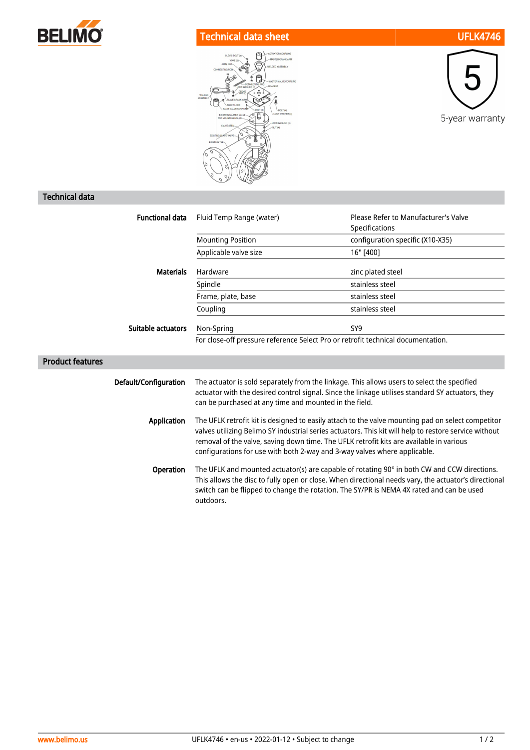

## Technical data sheet UFLK4746





## Technical data

| <b>Functional data</b>  | Fluid Temp Range (water)                                                                                                                                                                                                                                                                                                                                                           | Please Refer to Manufacturer's Valve |
|-------------------------|------------------------------------------------------------------------------------------------------------------------------------------------------------------------------------------------------------------------------------------------------------------------------------------------------------------------------------------------------------------------------------|--------------------------------------|
|                         |                                                                                                                                                                                                                                                                                                                                                                                    | Specifications                       |
|                         | <b>Mounting Position</b>                                                                                                                                                                                                                                                                                                                                                           | configuration specific (X10-X35)     |
|                         | Applicable valve size                                                                                                                                                                                                                                                                                                                                                              | 16" [400]                            |
| <b>Materials</b>        | Hardware                                                                                                                                                                                                                                                                                                                                                                           | zinc plated steel                    |
|                         | Spindle                                                                                                                                                                                                                                                                                                                                                                            | stainless steel                      |
|                         | Frame, plate, base                                                                                                                                                                                                                                                                                                                                                                 | stainless steel                      |
|                         | Coupling                                                                                                                                                                                                                                                                                                                                                                           | stainless steel                      |
| Suitable actuators      | Non-Spring                                                                                                                                                                                                                                                                                                                                                                         | SY9                                  |
|                         | For close-off pressure reference Select Pro or retrofit technical documentation.                                                                                                                                                                                                                                                                                                   |                                      |
| <b>Product features</b> |                                                                                                                                                                                                                                                                                                                                                                                    |                                      |
| Default/Configuration   | The actuator is sold separately from the linkage. This allows users to select the specified<br>actuator with the desired control signal. Since the linkage utilises standard SY actuators, they<br>can be purchased at any time and mounted in the field.                                                                                                                          |                                      |
| Application             | The UFLK retrofit kit is designed to easily attach to the valve mounting pad on select competitor<br>valves utilizing Belimo SY industrial series actuators. This kit will help to restore service without<br>removal of the valve, saving down time. The UFLK retrofit kits are available in various<br>configurations for use with both 2-way and 3-way valves where applicable. |                                      |
| Operation               | The UFLK and mounted actuator(s) are capable of rotating 90° in both CW and CCW directions.<br>This allows the disc to fully open or close. When directional needs vary, the actuator's directional<br>switch can be flipped to change the rotation. The SY/PR is NEMA 4X rated and can be used<br>outdoors.                                                                       |                                      |